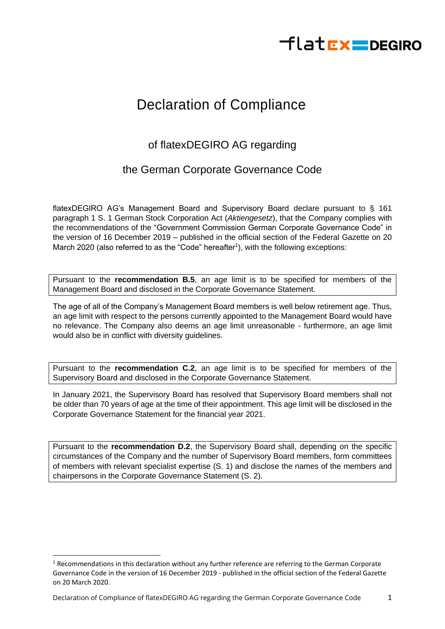

## Declaration of Compliance

## of flatexDEGIRO AG regarding

## the German Corporate Governance Code

flatexDEGIRO AG's Management Board and Supervisory Board declare pursuant to § 161 paragraph 1 S. 1 German Stock Corporation Act (*Aktiengesetz*), that the Company complies with the recommendations of the "Government Commission German Corporate Governance Code" in the version of 16 December 2019 – published in the official section of the Federal Gazette on 20 March 2020 (also referred to as the "Code" hereafter<sup>1</sup>), with the following exceptions:

Pursuant to the **recommendation B.5**, an age limit is to be specified for members of the Management Board and disclosed in the Corporate Governance Statement.

The age of all of the Company's Management Board members is well below retirement age. Thus, an age limit with respect to the persons currently appointed to the Management Board would have no relevance. The Company also deems an age limit unreasonable - furthermore, an age limit would also be in conflict with diversity guidelines.

Pursuant to the **recommendation C.2**, an age limit is to be specified for members of the Supervisory Board and disclosed in the Corporate Governance Statement.

In January 2021, the Supervisory Board has resolved that Supervisory Board members shall not be older than 70 years of age at the time of their appointment. This age limit will be disclosed in the Corporate Governance Statement for the financial year 2021.

Pursuant to the **recommendation D.2**, the Supervisory Board shall, depending on the specific circumstances of the Company and the number of Supervisory Board members, form committees of members with relevant specialist expertise (S. 1) and disclose the names of the members and chairpersons in the Corporate Governance Statement (S. 2).

 $1$  Recommendations in this declaration without any further reference are referring to the German Corporate Governance Code in the version of 16 December 2019 - published in the official section of the Federal Gazette on 20 March 2020.